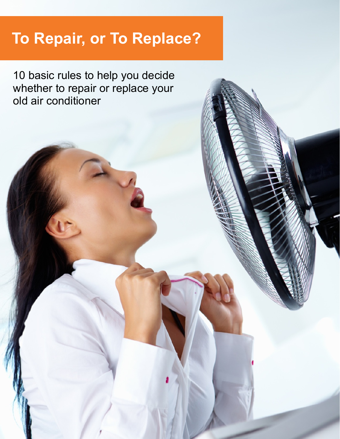# **To Repair, or To Replace?**

10 basic rules to help you decide whether to repair or replace your old air conditioner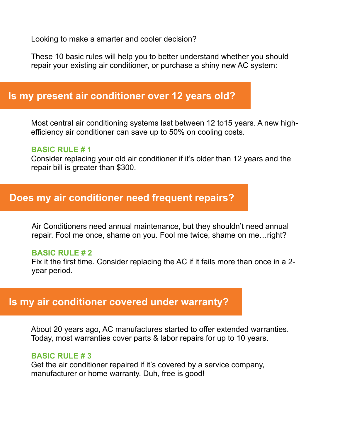Looking to make a smarter and cooler decision?

These 10 basic rules will help you to better understand whether you should repair your existing air conditioner, or purchase a shiny new AC system:

## **Is my present air conditioner over 12 years old?**

Most central air conditioning systems last between 12 to15 years. A new highefficiency air conditioner can save up to 50% on cooling costs.

#### **BASIC RULE # 1**

Consider replacing your old air conditioner if it's older than 12 years and the repair bill is greater than \$300.

## **Does my air conditioner need frequent repairs?**

Air Conditioners need annual maintenance, but they shouldn't need annual repair. Fool me once, shame on you. Fool me twice, shame on me…right?

#### **BASIC RULE # 2**

Fix it the first time. Consider replacing the AC if it fails more than once in a 2 year period.

## **Is my air conditioner covered under warranty?**

About 20 years ago, AC manufactures started to offer extended warranties. Today, most warranties cover parts & labor repairs for up to 10 years.

#### **BASIC RULE # 3**

Get the air conditioner repaired if it's covered by a service company, manufacturer or home warranty. Duh, free is good!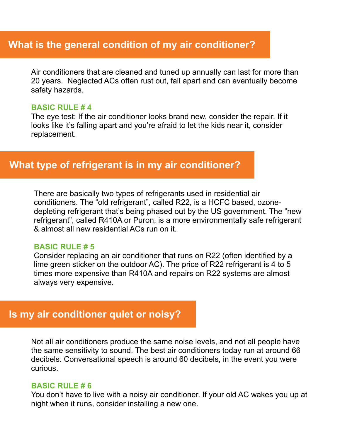# **What is the general condition of my air conditioner?**

Air conditioners that are cleaned and tuned up annually can last for more than 20 years. Neglected ACs often rust out, fall apart and can eventually become safety hazards.

#### **BASIC RULE # 4**

The eye test: If the air conditioner looks brand new, consider the repair. If it looks like it's falling apart and you're afraid to let the kids near it, consider replacement.

## **What type of refrigerant is in my air conditioner?**

There are basically two types of refrigerants used in residential air conditioners. The "old refrigerant", called R22, is a HCFC based, ozonedepleting refrigerant that's being phased out by the US government. The "new refrigerant", called R410A or Puron, is a more environmentally safe refrigerant & almost all new residential ACs run on it.

#### **BASIC RULE # 5**

Consider replacing an air conditioner that runs on R22 (often identified by a lime green sticker on the outdoor AC). The price of R22 refrigerant is 4 to 5 times more expensive than R410A and repairs on R22 systems are almost always very expensive.

## **Is my air conditioner quiet or noisy?**

Not all air conditioners produce the same noise levels, and not all people have the same sensitivity to sound. The best air conditioners today run at around 66 decibels. Conversational speech is around 60 decibels, in the event you were curious.

#### **BASIC RULE # 6**

You don't have to live with a noisy air conditioner. If your old AC wakes you up at night when it runs, consider installing a new one.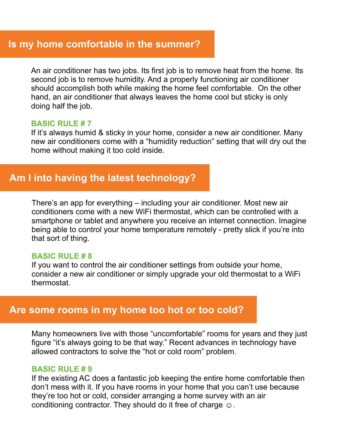## **Is my home comfortable in the summer?**

An air conditioner has two jobs. Its first job is to remove heat from the home. Its second job is to remove humidity. And a properly functioning air conditioner should accomplish both while making the home feel comfortable. On the other hand, an air conditioner that always leaves the home cool but sticky is only doing half the job.

#### **BASIC RULE # 7**

If it's always humid & sticky in your home, consider a new air conditioner. Many new air conditioners come with a "humidity reduction" setting that will dry out the home without making it too cold inside.

# **Am I into having the latest technology?**

There's an app for everything – including your air conditioner. Most new air conditioners come with a new WiFi thermostat, which can be controlled with a smartphone or tablet and anywhere you receive an internet connection. Imagine being able to control your home temperature remotely - pretty slick if you're into that sort of thing.

#### **BASIC RULE # 8**

If you want to control the air conditioner settings from outside your home, consider a new air conditioner or simply upgrade your old thermostat to a WiFi thermostat.

### **Are some rooms in my home too hot or too cold?**

Many homeowners live with those "uncomfortable" rooms for years and they just figure "it's always going to be that way." Recent advances in technology have allowed contractors to solve the "hot or cold room" problem.

#### **BASIC RULE # 9**

If the existing AC does a fantastic job keeping the entire home comfortable then don't mess with it. If you have rooms in your home that you can't use because they're too hot or cold, consider arranging a home survey with an air conditioning contractor. They should do it free of charge  $\odot$ .